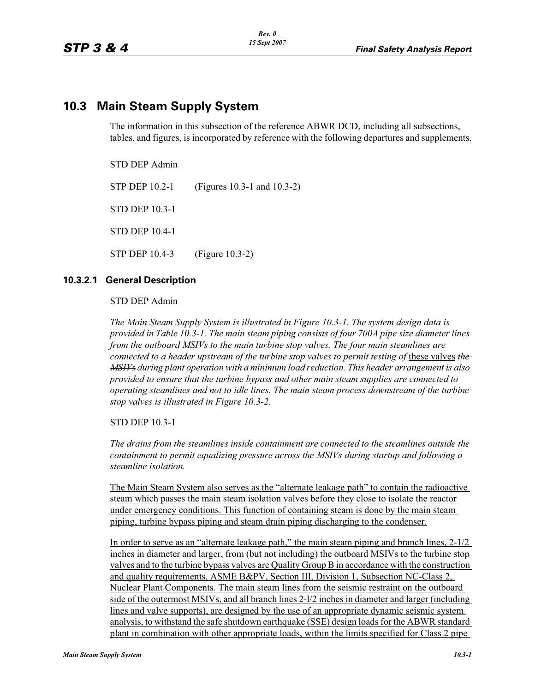# **10.3 Main Steam Supply System**

The information in this subsection of the reference ABWR DCD, including all subsections, tables, and figures, is incorporated by reference with the following departures and supplements.

STD DEP Admin

STP DEP 10.2-1 (Figures 10.3-1 and 10.3-2) STD DEP 10.3-1 STD DEP 10.4-1 STP DEP 10.4-3 (Figure 10.3-2)

### **10.3.2.1 General Description**

STD DEP Admin

*The Main Steam Supply System is illustrated in Figure 10.3-1. The system design data is provided in Table 10.3-1. The main steam piping consists of four 700A pipe size diameter lines from the outboard MSIVs to the main turbine stop valves. The four main steamlines are connected to a header upstream of the turbine stop valves to permit testing of these valves the MSIVs during plant operation with a minimum load reduction. This header arrangement is also provided to ensure that the turbine bypass and other main steam supplies are connected to operating steamlines and not to idle lines. The main steam process downstream of the turbine stop valves is illustrated in Figure 10.3-2.*

STD DEP 10.3-1

*The drains from the steamlines inside containment are connected to the steamlines outside the containment to permit equalizing pressure across the MSIVs during startup and following a steamline isolation.*

The Main Steam System also serves as the "alternate leakage path" to contain the radioactive steam which passes the main steam isolation valves before they close to isolate the reactor under emergency conditions. This function of containing steam is done by the main steam piping, turbine bypass piping and steam drain piping discharging to the condenser.

In order to serve as an "alternate leakage path," the main steam piping and branch lines, 2-1/2 inches in diameter and larger, from (but not including) the outboard MSIVs to the turbine stop valves and to the turbine bypass valves are Quality Group B in accordance with the construction and quality requirements, ASME B&PV, Section III, Division 1, Subsection NC-Class 2, Nuclear Plant Components. The main steam lines from the seismic restraint on the outboard side of the outermost MSIVs, and all branch lines 2-l/2 inches in diameter and larger (including lines and valve supports), are designed by the use of an appropriate dynamic seismic system analysis, to withstand the safe shutdown earthquake (SSE) design loads for the ABWR standard plant in combination with other appropriate loads, within the limits specified for Class 2 pipe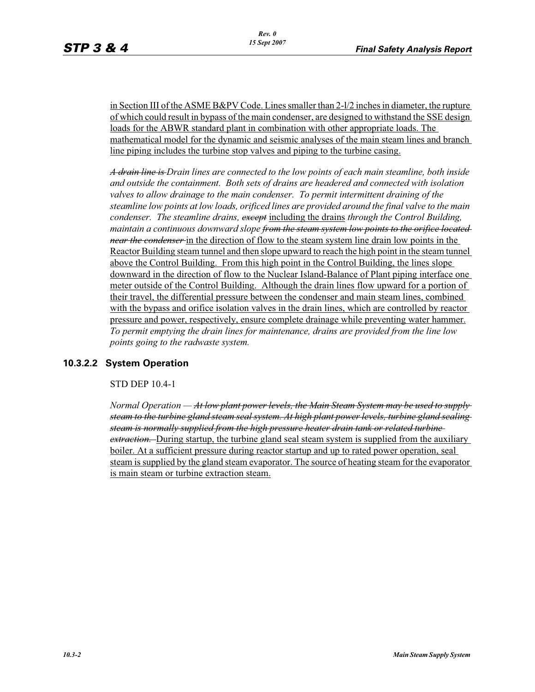in Section III of the ASME B&PV Code. Lines smaller than 2-l/2 inches in diameter, the rupture of which could result in bypass of the main condenser, are designed to withstand the SSE design loads for the ABWR standard plant in combination with other appropriate loads. The mathematical model for the dynamic and seismic analyses of the main steam lines and branch line piping includes the turbine stop valves and piping to the turbine casing.

*A drain line is Drain lines are connected to the low points of each main steamline, both inside and outside the containment. Both sets of drains are headered and connected with isolation valves to allow drainage to the main condenser. To permit intermittent draining of the steamline low points at low loads, orificed lines are provided around the final valve to the main condenser. The steamline drains, except* including the drains *through the Control Building, maintain a continuous downward slope from the steam system low points to the orifice located near the condenser* in the direction of flow to the steam system line drain low points in the Reactor Building steam tunnel and then slope upward to reach the high point in the steam tunnel above the Control Building. From this high point in the Control Building, the lines slope downward in the direction of flow to the Nuclear Island-Balance of Plant piping interface one meter outside of the Control Building. Although the drain lines flow upward for a portion of their travel, the differential pressure between the condenser and main steam lines, combined with the bypass and orifice isolation valves in the drain lines, which are controlled by reactor pressure and power, respectively, ensure complete drainage while preventing water hammer. *To permit emptying the drain lines for maintenance, drains are provided from the line low points going to the radwaste system.*

# **10.3.2.2 System Operation**

STD DEP 10.4-1

*Normal Operation — At low plant power levels, the Main Steam System may be used to supply steam to the turbine gland steam seal system. At high plant power levels, turbine gland sealing steam is normally supplied from the high pressure heater drain tank or related turbine extraction.* During startup, the turbine gland seal steam system is supplied from the auxiliary boiler. At a sufficient pressure during reactor startup and up to rated power operation, seal steam is supplied by the gland steam evaporator. The source of heating steam for the evaporator is main steam or turbine extraction steam.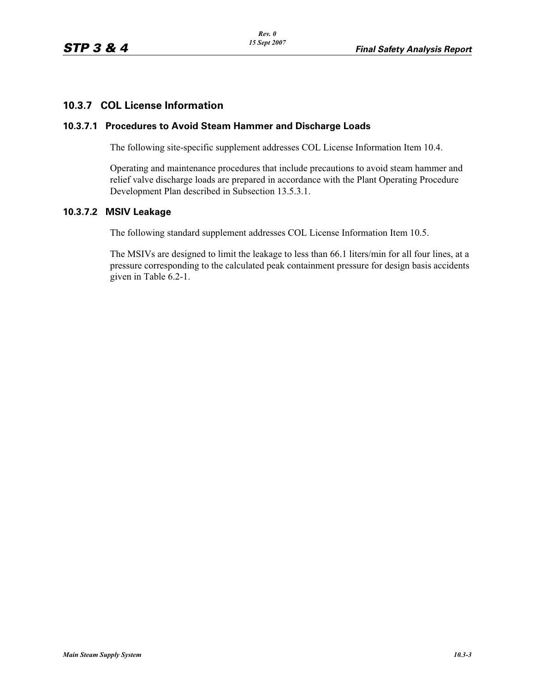# **10.3.7 COL License Information**

#### **10.3.7.1 Procedures to Avoid Steam Hammer and Discharge Loads**

The following site-specific supplement addresses COL License Information Item 10.4.

Operating and maintenance procedures that include precautions to avoid steam hammer and relief valve discharge loads are prepared in accordance with the Plant Operating Procedure Development Plan described in Subsection 13.5.3.1.

## **10.3.7.2 MSIV Leakage**

The following standard supplement addresses COL License Information Item 10.5.

The MSIVs are designed to limit the leakage to less than 66.1 liters/min for all four lines, at a pressure corresponding to the calculated peak containment pressure for design basis accidents given in Table 6.2-1.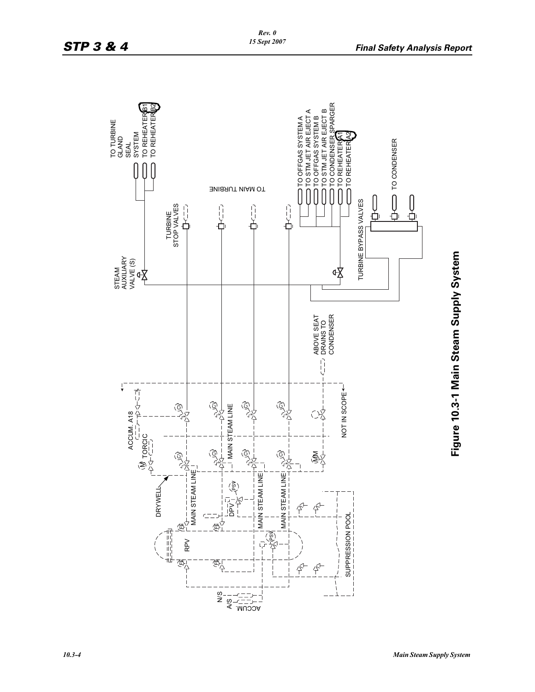

Figure 10.3-1 Main Steam Supply System **Figure 10.3-1 Main Steam Supply System**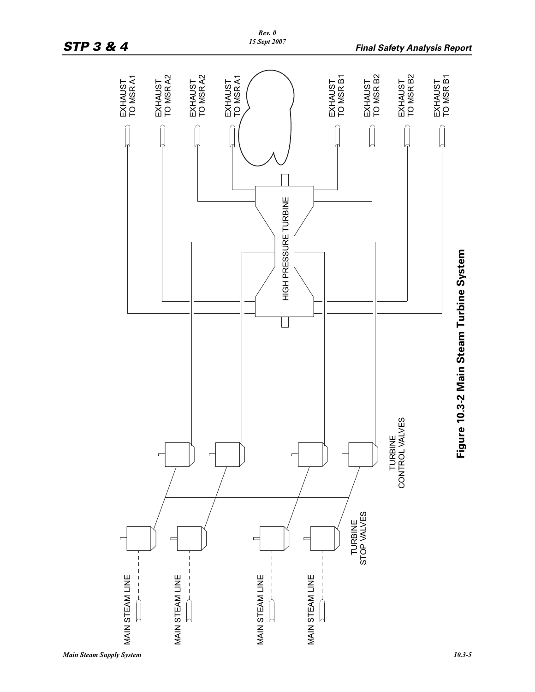

*Rev. 0*